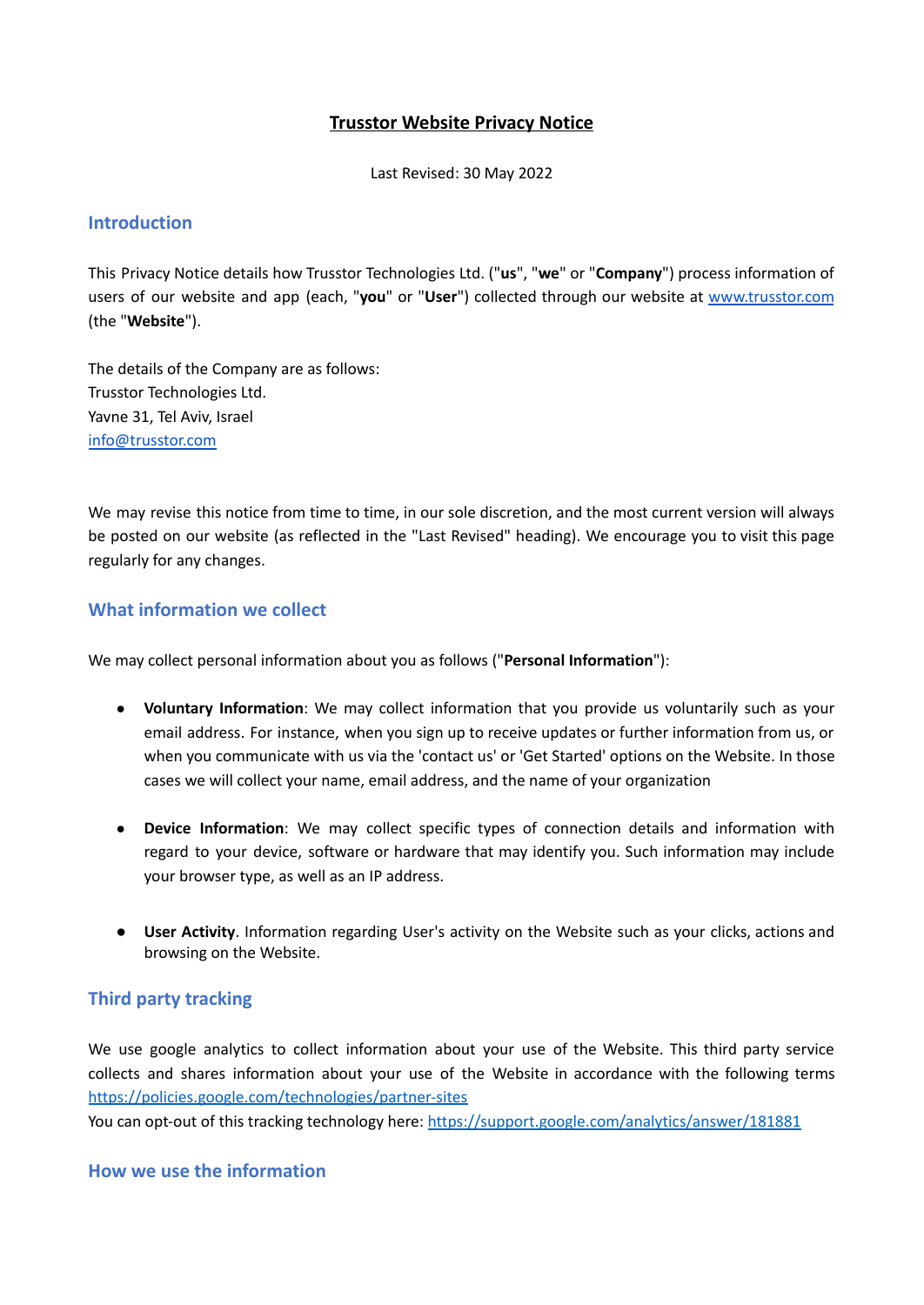# **Trusstor Website Privacy Notice**

Last Revised: 30 May 2022

### **Introduction**

This Privacy Notice details how Trusstor Technologies Ltd. ("**us**", "**we**" or "**Company**") process information of users of our website and app (each, "**you**" or "**User**") collected through our website at [www.trusstor.com](http://www.trusstor.com) (the "**Website**").

The details of the Company are as follows: Trusstor Technologies Ltd. Yavne 31, Tel Aviv, Israel [info@trusstor.com](mailto:info@trusstor.com)

We may revise this notice from time to time, in our sole discretion, and the most current version will always be posted on our website (as reflected in the "Last Revised" heading). We encourage you to visit this page regularly for any changes.

### **What information we collect**

We may collect personal information about you as follows ("**Personal Information**"):

- **Voluntary Information**: We may collect information that you provide us voluntarily such as your email address. For instance, when you sign up to receive updates or further information from us, or when you communicate with us via the 'contact us' or 'Get Started' options on the Website. In those cases we will collect your name, email address, and the name of your organization
- **Device Information**: We may collect specific types of connection details and information with regard to your device, software or hardware that may identify you. Such information may include your browser type, as well as an IP address.
- **● User Activity**. Information regarding User's activity on the Website such as your clicks, actions and browsing on the Website.

# **Third party tracking**

We use google analytics to collect information about your use of the Website. This third party service collects and shares information about your use of the Website in accordance with the following terms <https://policies.google.com/technologies/partner-sites>

You can opt-out of this tracking technology here: <https://support.google.com/analytics/answer/181881>

**How we use the information**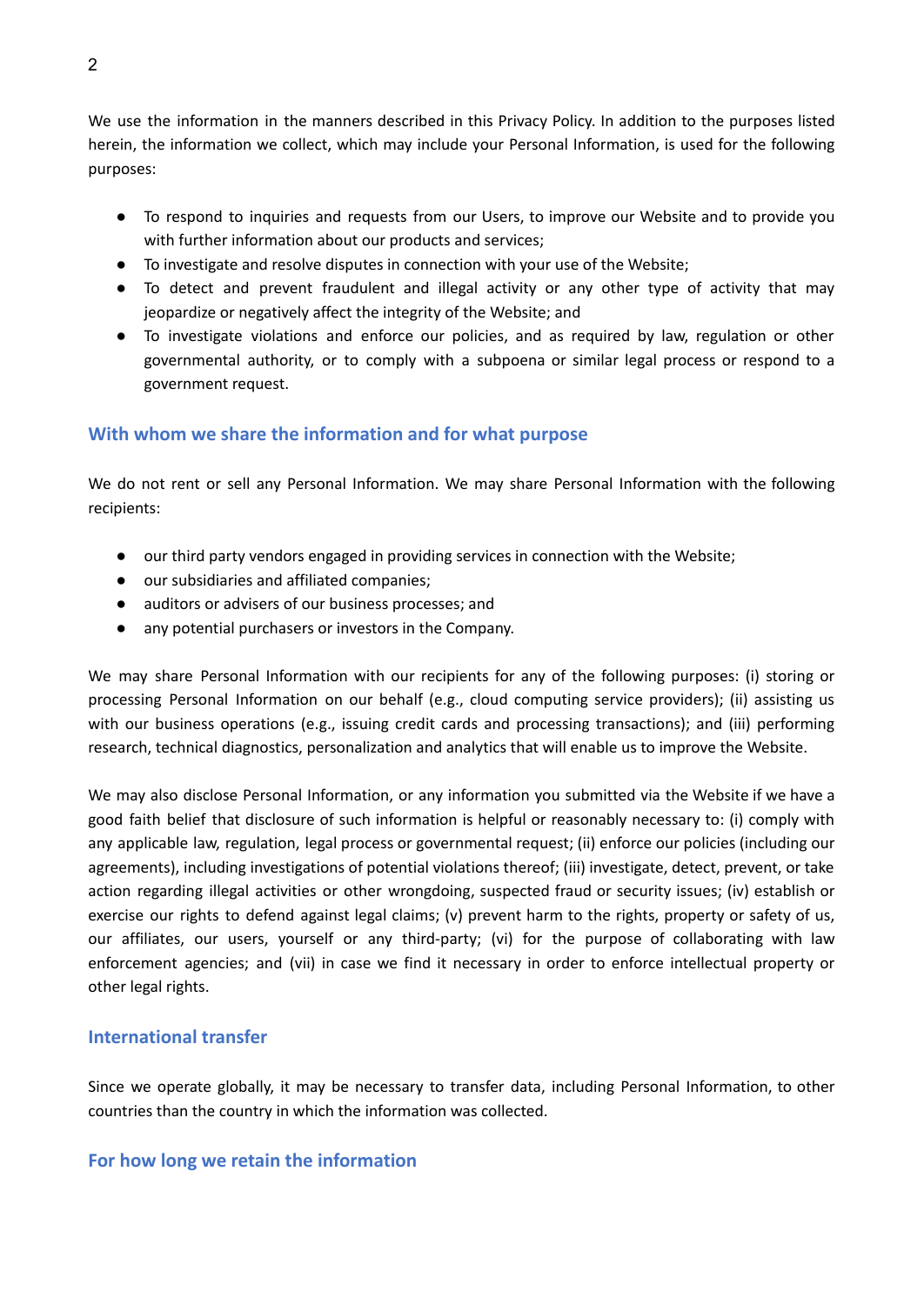We use the information in the manners described in this Privacy Policy. In addition to the purposes listed herein, the information we collect, which may include your Personal Information, is used for the following purposes:

- To respond to inquiries and requests from our Users, to improve our Website and to provide you with further information about our products and services;
- To investigate and resolve disputes in connection with your use of the Website;
- To detect and prevent fraudulent and illegal activity or any other type of activity that may jeopardize or negatively affect the integrity of the Website; and
- To investigate violations and enforce our policies, and as required by law, regulation or other governmental authority, or to comply with a subpoena or similar legal process or respond to a government request.

### **With whom we share the information and for what purpose**

We do not rent or sell any Personal Information. We may share Personal Information with the following recipients:

- our third party vendors engaged in providing services in connection with the Website;
- our subsidiaries and affiliated companies;
- auditors or advisers of our business processes; and
- any potential purchasers or investors in the Company.

We may share Personal Information with our recipients for any of the following purposes: (i) storing or processing Personal Information on our behalf (e.g., cloud computing service providers); (ii) assisting us with our business operations (e.g., issuing credit cards and processing transactions); and (iii) performing research, technical diagnostics, personalization and analytics that will enable us to improve the Website.

We may also disclose Personal Information, or any information you submitted via the Website if we have a good faith belief that disclosure of such information is helpful or reasonably necessary to: (i) comply with any applicable law, regulation, legal process or governmental request; (ii) enforce our policies (including our agreements), including investigations of potential violations thereof; (iii) investigate, detect, prevent, or take action regarding illegal activities or other wrongdoing, suspected fraud or security issues; (iv) establish or exercise our rights to defend against legal claims; (v) prevent harm to the rights, property or safety of us, our affiliates, our users, yourself or any third-party; (vi) for the purpose of collaborating with law enforcement agencies; and (vii) in case we find it necessary in order to enforce intellectual property or other legal rights.

### **International transfer**

Since we operate globally, it may be necessary to transfer data, including Personal Information, to other countries than the country in which the information was collected.

### **For how long we retain the information**